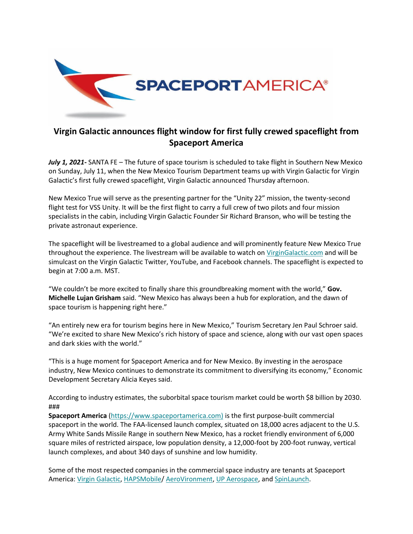

## **Virgin Galactic announces flight window for first fully crewed spaceflight from Spaceport America**

*July 1, 2021-* SANTA FE – The future of space tourism is scheduled to take flight in Southern New Mexico on Sunday, July 11, when the New Mexico Tourism Department teams up with Virgin Galactic for Virgin Galactic's first fully crewed spaceflight, Virgin Galactic announced Thursday afternoon.

New Mexico True will serve as the presenting partner for the "Unity 22" mission, the twenty-second flight test for VSS Unity. It will be the first flight to carry a full crew of two pilots and four mission specialists in the cabin, including Virgin Galactic Founder Sir Richard Branson, who will be testing the private astronaut experience.

The spaceflight will be livestreamed to a global audience and will prominently feature New Mexico True throughout the experience. The livestream will be available to watch on [VirginGalactic.com](https://spaceportamerica.us5.list-manage.com/track/click?u=58d56e94a27e782f5a4739ee8&id=c791dc98a1&e=187382ca15) and will be simulcast on the Virgin Galactic Twitter, YouTube, and Facebook channels. The spaceflight is expected to begin at 7:00 a.m. MST.

"We couldn't be more excited to finally share this groundbreaking moment with the world," **Gov. Michelle Lujan Grisham** said. "New Mexico has always been a hub for exploration, and the dawn of space tourism is happening right here."

"An entirely new era for tourism begins here in New Mexico," Tourism Secretary Jen Paul Schroer said. "We're excited to share New Mexico's rich history of space and science, along with our vast open spaces and dark skies with the world."

"This is a huge moment for Spaceport America and for New Mexico. By investing in the aerospace industry, New Mexico continues to demonstrate its commitment to diversifying its economy," Economic Development Secretary Alicia Keyes said.

According to industry estimates, the suborbital space tourism market could be worth \$8 billion by 2030. ###

**Spaceport America** [\(https://www.spaceportamerica.com\)](https://spaceportamerica.us5.list-manage.com/track/click?u=58d56e94a27e782f5a4739ee8&id=b94e5c2ab0&e=187382ca15) is the first purpose-built commercial spaceport in the world. The FAA-licensed launch complex, situated on 18,000 acres adjacent to the U.S. Army White Sands Missile Range in southern New Mexico, has a rocket friendly environment of 6,000 square miles of restricted airspace, low population density, a 12,000-foot by 200-foot runway, vertical launch complexes, and about 340 days of sunshine and low humidity.

Some of the most respected companies in the commercial space industry are tenants at Spaceport America: [Virgin Galactic,](https://spaceportamerica.us5.list-manage.com/track/click?u=58d56e94a27e782f5a4739ee8&id=a2b89a3225&e=187382ca15) [HAPSMobile/](https://spaceportamerica.us5.list-manage.com/track/click?u=58d56e94a27e782f5a4739ee8&id=41deae3838&e=187382ca15) [AeroVironment,](https://spaceportamerica.us5.list-manage.com/track/click?u=58d56e94a27e782f5a4739ee8&id=5906d32356&e=187382ca15) [UP Aerospace,](https://spaceportamerica.us5.list-manage.com/track/click?u=58d56e94a27e782f5a4739ee8&id=f6623b40fb&e=187382ca15) and [SpinLaunch.](https://spaceportamerica.us5.list-manage.com/track/click?u=58d56e94a27e782f5a4739ee8&id=0c825afc7a&e=187382ca15)